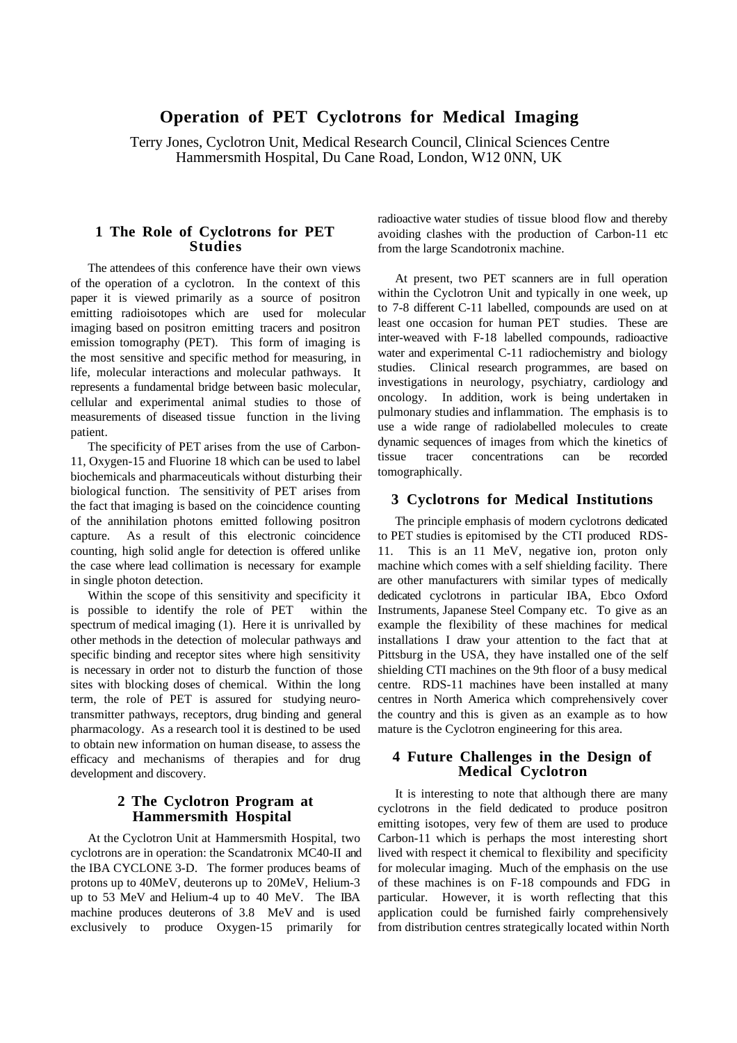# **Operation of PET Cyclotrons for Medical Imaging**

Terry Jones, Cyclotron Unit, Medical Research Council, Clinical Sciences Centre Hammersmith Hospital, Du Cane Road, London, W12 0NN, UK

#### **1 The Role of Cyclotrons for PET Studies**

The attendees of this conference have their own views of the operation of a cyclotron. In the context of this paper it is viewed primarily as a source of positron emitting radioisotopes which are used for molecular imaging based on positron emitting tracers and positron emission tomography (PET). This form of imaging is the most sensitive and specific method for measuring, in life, molecular interactions and molecular pathways. It represents a fundamental bridge between basic molecular, cellular and experimental animal studies to those of measurements of diseased tissue function in the living patient.

The specificity of PET arises from the use of Carbon-11, Oxygen-15 and Fluorine 18 which can be used to label biochemicals and pharmaceuticals without disturbing their biological function. The sensitivity of PET arises from the fact that imaging is based on the coincidence counting of the annihilation photons emitted following positron capture. As a result of this electronic coincidence counting, high solid angle for detection is offered unlike the case where lead collimation is necessary for example in single photon detection.

Within the scope of this sensitivity and specificity it is possible to identify the role of PET within the spectrum of medical imaging (1). Here it is unrivalled by other methods in the detection of molecular pathways and specific binding and receptor sites where high sensitivity is necessary in order not to disturb the function of those sites with blocking doses of chemical. Within the long term, the role of PET is assured for studying neurotransmitter pathways, receptors, drug binding and general pharmacology. As a research tool it is destined to be used to obtain new information on human disease, to assess the efficacy and mechanisms of therapies and for drug development and discovery.

## **2 The Cyclotron Program at Hammersmith Hospital**

At the Cyclotron Unit at Hammersmith Hospital, two cyclotrons are in operation: the Scandatronix MC40-II and the IBA CYCLONE 3-D. The former produces beams of protons up to 40MeV, deuterons up to 20MeV, Helium-3 up to 53 MeV and Helium-4 up to 40 MeV. The IBA machine produces deuterons of 3.8 MeV and is used exclusively to produce Oxygen-15 primarily for

radioactive water studies of tissue blood flow and thereby avoiding clashes with the production of Carbon-11 etc from the large Scandotronix machine.

At present, two PET scanners are in full operation within the Cyclotron Unit and typically in one week, up to 7-8 different C-11 labelled, compounds are used on at least one occasion for human PET studies. These are inter-weaved with F-18 labelled compounds, radioactive water and experimental C-11 radiochemistry and biology studies. Clinical research programmes, are based on investigations in neurology, psychiatry, cardiology and oncology. In addition, work is being undertaken in pulmonary studies and inflammation. The emphasis is to use a wide range of radiolabelled molecules to create dynamic sequences of images from which the kinetics of tissue tracer concentrations can be recorded tomographically.

#### **3 Cyclotrons for Medical Institutions**

The principle emphasis of modern cyclotrons dedicated to PET studies is epitomised by the CTI produced RDS-11. This is an 11 MeV, negative ion, proton only machine which comes with a self shielding facility. There are other manufacturers with similar types of medically dedicated cyclotrons in particular IBA, Ebco Oxford Instruments, Japanese Steel Company etc. To give as an example the flexibility of these machines for medical installations I draw your attention to the fact that at Pittsburg in the USA, they have installed one of the self shielding CTI machines on the 9th floor of a busy medical centre. RDS-11 machines have been installed at many centres in North America which comprehensively cover the country and this is given as an example as to how mature is the Cyclotron engineering for this area.

#### **4 Future Challenges in the Design of Medical Cyclotron**

It is interesting to note that although there are many cyclotrons in the field dedicated to produce positron emitting isotopes, very few of them are used to produce Carbon-11 which is perhaps the most interesting short lived with respect it chemical to flexibility and specificity for molecular imaging. Much of the emphasis on the use of these machines is on F-18 compounds and FDG in particular. However, it is worth reflecting that this application could be furnished fairly comprehensively from distribution centres strategically located within North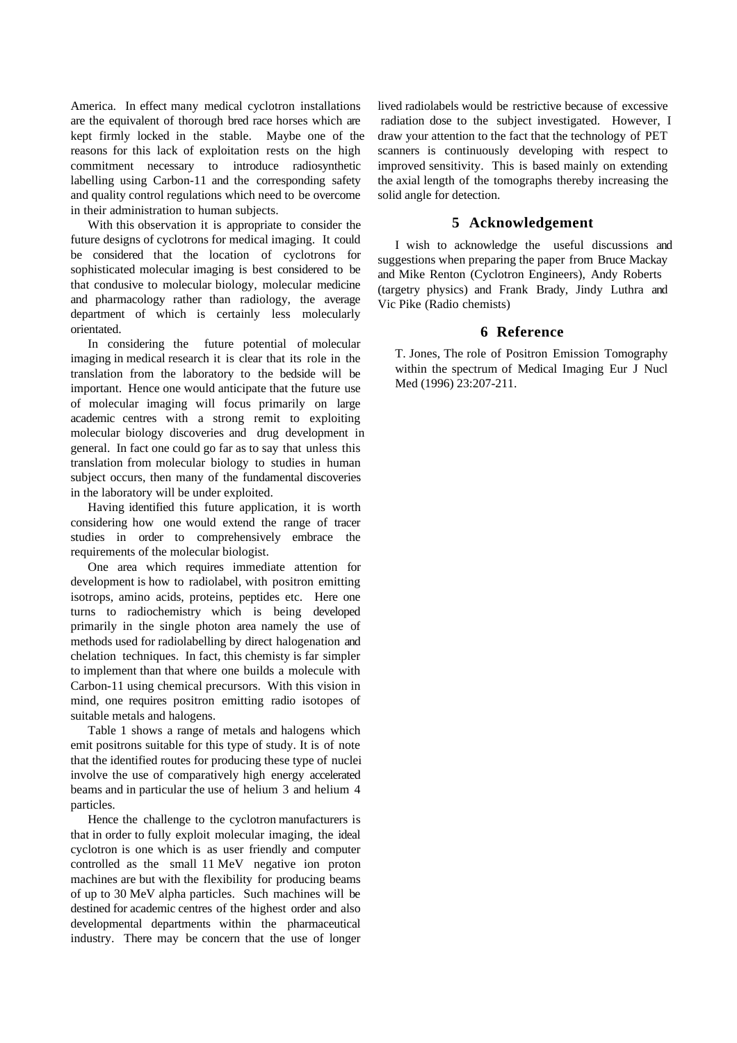America. In effect many medical cyclotron installations are the equivalent of thorough bred race horses which are kept firmly locked in the stable. Maybe one of the reasons for this lack of exploitation rests on the high commitment necessary to introduce radiosynthetic labelling using Carbon-11 and the corresponding safety and quality control regulations which need to be overcome in their administration to human subjects.

With this observation it is appropriate to consider the future designs of cyclotrons for medical imaging. It could be considered that the location of cyclotrons for sophisticated molecular imaging is best considered to be that condusive to molecular biology, molecular medicine and pharmacology rather than radiology, the average department of which is certainly less molecularly orientated.

In considering the future potential of molecular imaging in medical research it is clear that its role in the translation from the laboratory to the bedside will be important. Hence one would anticipate that the future use of molecular imaging will focus primarily on large academic centres with a strong remit to exploiting molecular biology discoveries and drug development in general. In fact one could go far as to say that unless this translation from molecular biology to studies in human subject occurs, then many of the fundamental discoveries in the laboratory will be under exploited.

Having identified this future application, it is worth considering how one would extend the range of tracer studies in order to comprehensively embrace the requirements of the molecular biologist.

One area which requires immediate attention for development is how to radiolabel, with positron emitting isotrops, amino acids, proteins, peptides etc. Here one turns to radiochemistry which is being developed primarily in the single photon area namely the use of methods used for radiolabelling by direct halogenation and chelation techniques. In fact, this chemisty is far simpler to implement than that where one builds a molecule with Carbon-11 using chemical precursors. With this vision in mind, one requires positron emitting radio isotopes of suitable metals and halogens.

Table 1 shows a range of metals and halogens which emit positrons suitable for this type of study. It is of note that the identified routes for producing these type of nuclei involve the use of comparatively high energy accelerated beams and in particular the use of helium 3 and helium 4 particles.

Hence the challenge to the cyclotron manufacturers is that in order to fully exploit molecular imaging, the ideal cyclotron is one which is as user friendly and computer controlled as the small 11 MeV negative ion proton machines are but with the flexibility for producing beams of up to 30 MeV alpha particles. Such machines will be destined for academic centres of the highest order and also developmental departments within the pharmaceutical industry. There may be concern that the use of longer

lived radiolabels would be restrictive because of excessive radiation dose to the subject investigated. However, I draw your attention to the fact that the technology of PET scanners is continuously developing with respect to improved sensitivity. This is based mainly on extending the axial length of the tomographs thereby increasing the solid angle for detection.

### **5 Acknowledgement**

I wish to acknowledge the useful discussions and suggestions when preparing the paper from Bruce Mackay and Mike Renton (Cyclotron Engineers), Andy Roberts (targetry physics) and Frank Brady, Jindy Luthra and Vic Pike (Radio chemists)

#### **6 Reference**

T. Jones, The role of Positron Emission Tomography within the spectrum of Medical Imaging Eur J Nucl Med (1996) 23:207-211.